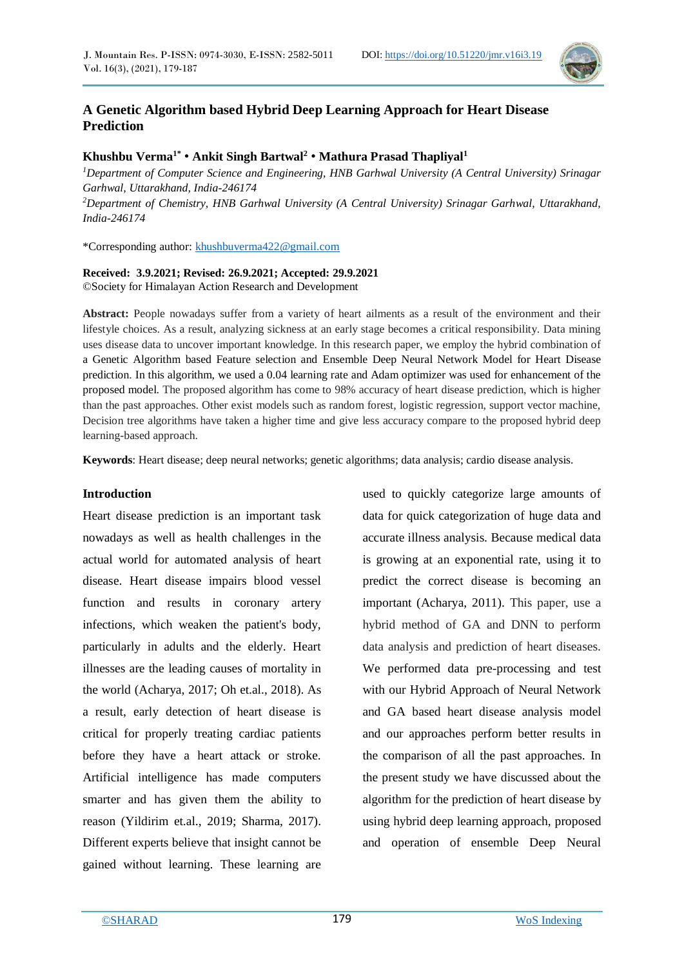

## **A Genetic Algorithm based Hybrid Deep Learning Approach for Heart Disease Prediction**

## **Khushbu Verma1\*** • **Ankit Singh Bartwal<sup>2</sup>** • **Mathura Prasad Thapliyal<sup>1</sup>**

*<sup>1</sup>Department of Computer Science and Engineering, HNB Garhwal University (A Central University) Srinagar Garhwal, Uttarakhand, India-246174 <sup>2</sup>Department of Chemistry, HNB Garhwal University (A Central University) Srinagar Garhwal, Uttarakhand, India-246174*

\*Corresponding author: [khushbuverma422@gmail.com](mailto:khushbuverma422@gmail.com)

#### **Received: 3.9.2021; Revised: 26.9.2021; Accepted: 29.9.2021** ©Society for Himalayan Action Research and Development

**Abstract:** People nowadays suffer from a variety of heart ailments as a result of the environment and their lifestyle choices. As a result, analyzing sickness at an early stage becomes a critical responsibility. Data mining uses disease data to uncover important knowledge. In this research paper, we employ the hybrid combination of a Genetic Algorithm based Feature selection and Ensemble Deep Neural Network Model for Heart Disease prediction. In this algorithm, we used a 0.04 learning rate and Adam optimizer was used for enhancement of the proposed model. The proposed algorithm has come to 98% accuracy of heart disease prediction, which is higher than the past approaches. Other exist models such as random forest, logistic regression, support vector machine, Decision tree algorithms have taken a higher time and give less accuracy compare to the proposed hybrid deep learning-based approach.

**Keywords**: Heart disease; deep neural networks; genetic algorithms; data analysis; cardio disease analysis.

## **Introduction**

Heart disease prediction is an important task nowadays as well as health challenges in the actual world for automated analysis of heart disease. Heart disease impairs blood vessel function and results in coronary artery infections, which weaken the patient's body, particularly in adults and the elderly. Heart illnesses are the leading causes of mortality in the world (Acharya, 2017; Oh et.al., 2018). As a result, early detection of heart disease is critical for properly treating cardiac patients before they have a heart attack or stroke. Artificial intelligence has made computers smarter and has given them the ability to reason (Yildirim et.al., 2019; Sharma, 2017). Different experts believe that insight cannot be gained without learning. These learning are

used to quickly categorize large amounts of data for quick categorization of huge data and accurate illness analysis. Because medical data is growing at an exponential rate, using it to predict the correct disease is becoming an important (Acharya, 2011). This paper, use a hybrid method of GA and DNN to perform data analysis and prediction of heart diseases. We performed data pre-processing and test with our Hybrid Approach of Neural Network and GA based heart disease analysis model and our approaches perform better results in the comparison of all the past approaches. In the present study we have discussed about the algorithm for the prediction of heart disease by using hybrid deep learning approach, proposed and operation of ensemble Deep Neural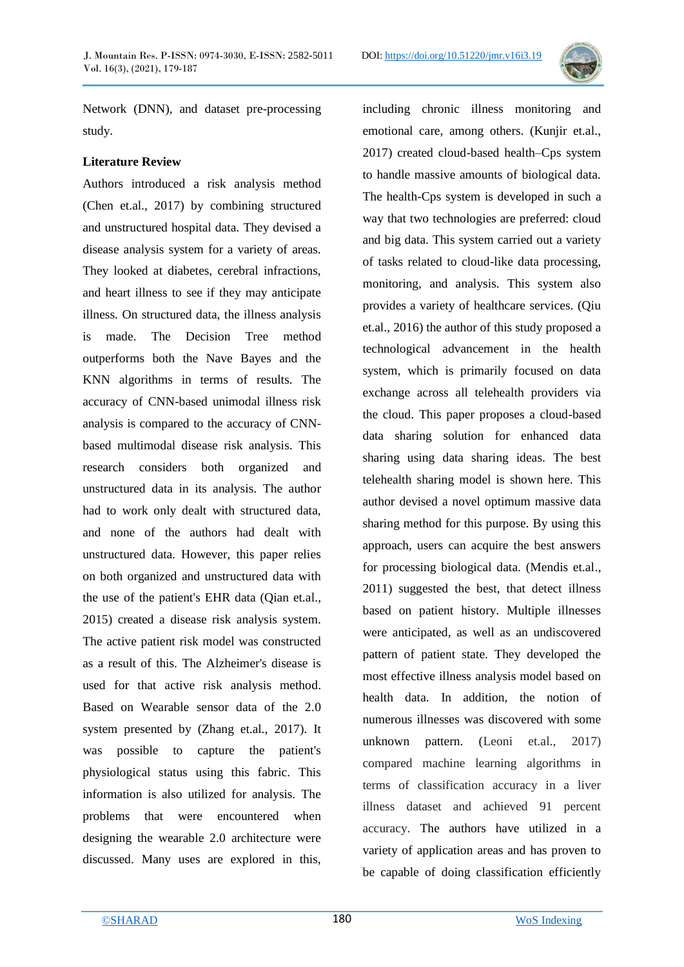

Network (DNN), and dataset pre-processing study.

## **Literature Review**

Authors introduced a risk analysis method (Chen et.al., 2017) by combining structured and unstructured hospital data. They devised a disease analysis system for a variety of areas. They looked at diabetes, cerebral infractions, and heart illness to see if they may anticipate illness. On structured data, the illness analysis is made. The Decision Tree method outperforms both the Nave Bayes and the KNN algorithms in terms of results. The accuracy of CNN-based unimodal illness risk analysis is compared to the accuracy of CNNbased multimodal disease risk analysis. This research considers both organized and unstructured data in its analysis. The author had to work only dealt with structured data, and none of the authors had dealt with unstructured data. However, this paper relies on both organized and unstructured data with the use of the patient's EHR data (Qian et.al., 2015) created a disease risk analysis system. The active patient risk model was constructed as a result of this. The Alzheimer's disease is used for that active risk analysis method. Based on Wearable sensor data of the 2.0 system presented by (Zhang et.al., 2017). It was possible to capture the patient's physiological status using this fabric. This information is also utilized for analysis. The problems that were encountered when designing the wearable 2.0 architecture were discussed. Many uses are explored in this,

including chronic illness monitoring and emotional care, among others. (Kunjir et.al., 2017) created cloud-based health–Cps system to handle massive amounts of biological data. The health-Cps system is developed in such a way that two technologies are preferred: cloud and big data. This system carried out a variety of tasks related to cloud-like data processing, monitoring, and analysis. This system also provides a variety of healthcare services. (Qiu et.al., 2016) the author of this study proposed a technological advancement in the health system, which is primarily focused on data exchange across all telehealth providers via the cloud. This paper proposes a cloud-based data sharing solution for enhanced data sharing using data sharing ideas. The best telehealth sharing model is shown here. This author devised a novel optimum massive data sharing method for this purpose. By using this approach, users can acquire the best answers for processing biological data. (Mendis et.al., 2011) suggested the best, that detect illness based on patient history. Multiple illnesses were anticipated, as well as an undiscovered pattern of patient state. They developed the most effective illness analysis model based on health data. In addition, the notion of numerous illnesses was discovered with some unknown pattern. (Leoni et.al., 2017) compared machine learning algorithms in terms of classification accuracy in a liver illness dataset and achieved 91 percent accuracy. The authors have utilized in a variety of application areas and has proven to be capable of doing classification efficiently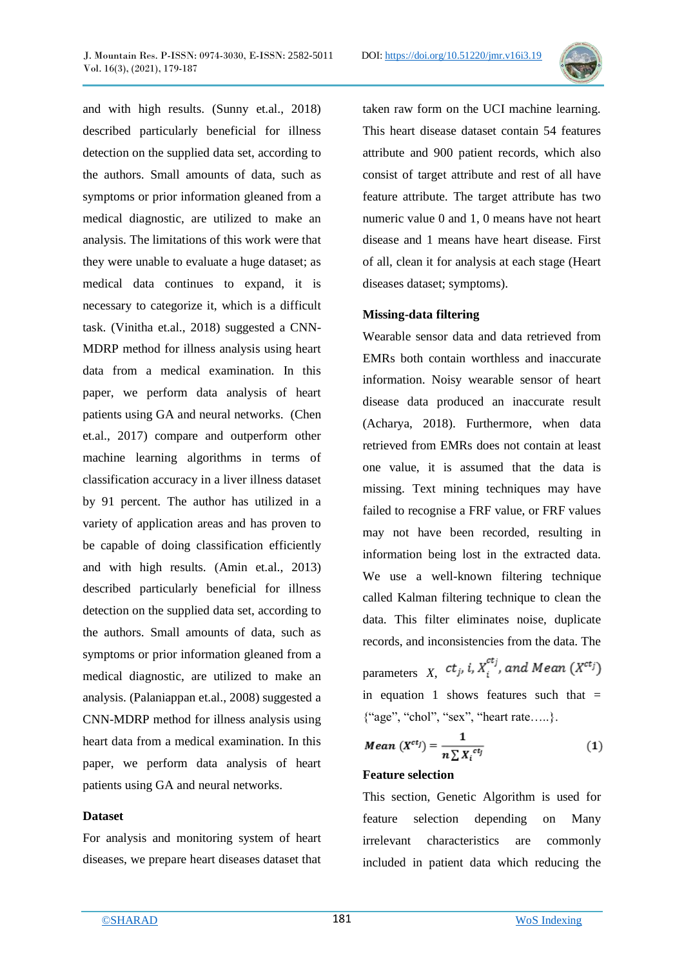

and with high results. (Sunny et.al., 2018) described particularly beneficial for illness detection on the supplied data set, according to the authors. Small amounts of data, such as symptoms or prior information gleaned from a medical diagnostic, are utilized to make an analysis. The limitations of this work were that they were unable to evaluate a huge dataset; as medical data continues to expand, it is necessary to categorize it, which is a difficult task. (Vinitha et.al., 2018) suggested a CNN-MDRP method for illness analysis using heart data from a medical examination. In this paper, we perform data analysis of heart patients using GA and neural networks. (Chen et.al., 2017) compare and outperform other machine learning algorithms in terms of classification accuracy in a liver illness dataset by 91 percent. The author has utilized in a variety of application areas and has proven to be capable of doing classification efficiently and with high results. (Amin et.al., 2013) described particularly beneficial for illness detection on the supplied data set, according to the authors. Small amounts of data, such as symptoms or prior information gleaned from a medical diagnostic, are utilized to make an analysis. (Palaniappan et.al., 2008) suggested a CNN-MDRP method for illness analysis using heart data from a medical examination. In this paper, we perform data analysis of heart patients using GA and neural networks.

#### **Dataset**

For analysis and monitoring system of heart diseases, we prepare heart diseases dataset that taken raw form on the UCI machine learning. This heart disease dataset contain 54 features attribute and 900 patient records, which also consist of target attribute and rest of all have feature attribute. The target attribute has two numeric value 0 and 1, 0 means have not heart disease and 1 means have heart disease. First of all, clean it for analysis at each stage (Heart diseases dataset; symptoms).

#### **Missing-data filtering**

Wearable sensor data and data retrieved from EMRs both contain worthless and inaccurate information. Noisy wearable sensor of heart disease data produced an inaccurate result (Acharya, 2018). Furthermore, when data retrieved from EMRs does not contain at least one value, it is assumed that the data is missing. Text mining techniques may have failed to recognise a FRF value, or FRF values may not have been recorded, resulting in information being lost in the extracted data. We use a well-known filtering technique called Kalman filtering technique to clean the data. This filter eliminates noise, duplicate records, and inconsistencies from the data. The parameters *X*,  $ct_j$ , *i*,  $X_i^{ct_j}$ , and Mean ( $X^{ct_j}$ ) in equation 1 shows features such that  $=$ {"age", "chol", "sex", "heart rate…..}.

$$
Mean (X^{ctj}) = \frac{1}{n \sum X_i^{ctj}} \tag{1}
$$

## **Feature selection**

This section, Genetic Algorithm is used for feature selection depending on Many irrelevant characteristics are commonly included in patient data which reducing the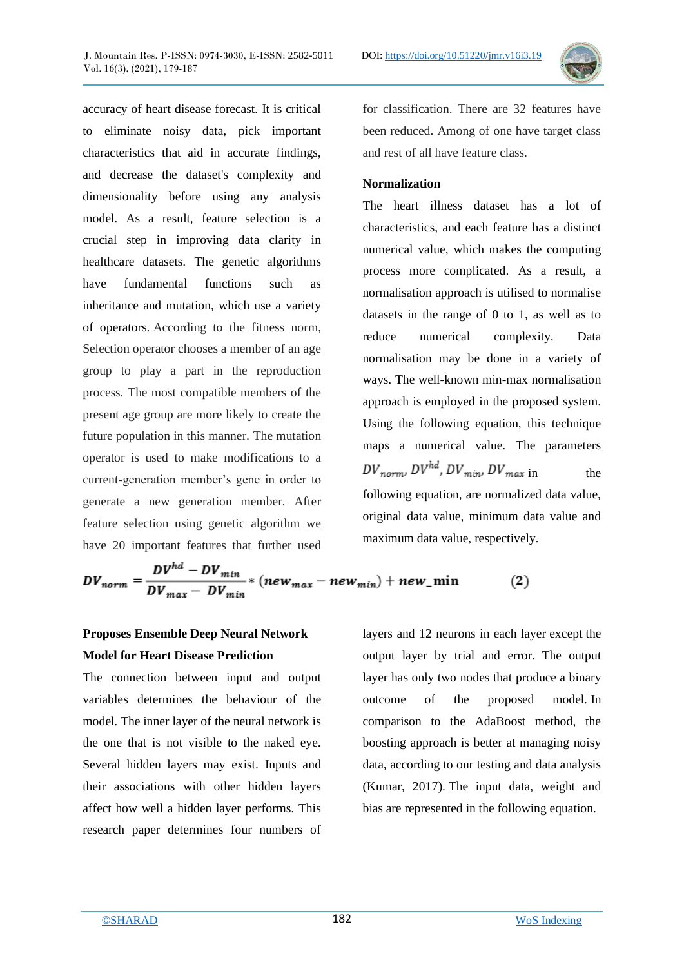accuracy of heart disease forecast. It is critical to eliminate noisy data, pick important characteristics that aid in accurate findings, and decrease the dataset's complexity and dimensionality before using any analysis model. As a result, feature selection is a crucial step in improving data clarity in healthcare datasets. The genetic algorithms have fundamental functions such as

inheritance and mutation, which use a variety of operators. According to the fitness norm, Selection operator chooses a member of an age group to play a part in the reproduction process. The most compatible members of the present age group are more likely to create the future population in this manner*.* The mutation operator is used to make modifications to a current-generation member's gene in order to generate a new generation member. After feature selection using genetic algorithm we have 20 important features that further used

for classification. There are 32 features have been reduced. Among of one have target class and rest of all have feature class.

## **Normalization**

The heart illness dataset has a lot of characteristics, and each feature has a distinct numerical value, which makes the computing process more complicated. As a result, a normalisation approach is utilised to normalise datasets in the range of 0 to 1, as well as to reduce numerical complexity. Data normalisation may be done in a variety of ways. The well-known min-max normalisation approach is employed in the proposed system. Using the following equation, this technique maps a numerical value. The parameters  $DV_{norm}$ ,  $DV^{hd}$ ,  $DV_{min}$ ,  $DV_{max}$  in the following equation, are normalized data value, original data value, minimum data value and maximum data value, respectively.

$$
DV_{norm} = \frac{DV^{mu} - DV_{min}}{DV_{max} - DV_{min}} * (new_{max} - new_{min}) + new\_min
$$
 (2)

# **Proposes Ensemble Deep Neural Network Model for Heart Disease Prediction**

 $\mathbf{L}$ 

The connection between input and output variables determines the behaviour of the model. The inner layer of the neural network is the one that is not visible to the naked eye. Several hidden layers may exist. Inputs and their associations with other hidden layers affect how well a hidden layer performs. This research paper determines four numbers of layers and 12 neurons in each layer except the output layer by trial and error. The output layer has only two nodes that produce a binary outcome of the proposed model. In comparison to the AdaBoost method, the boosting approach is better at managing noisy data, according to our testing and data analysis (Kumar, 2017). The input data, weight and bias are represented in the following equation.

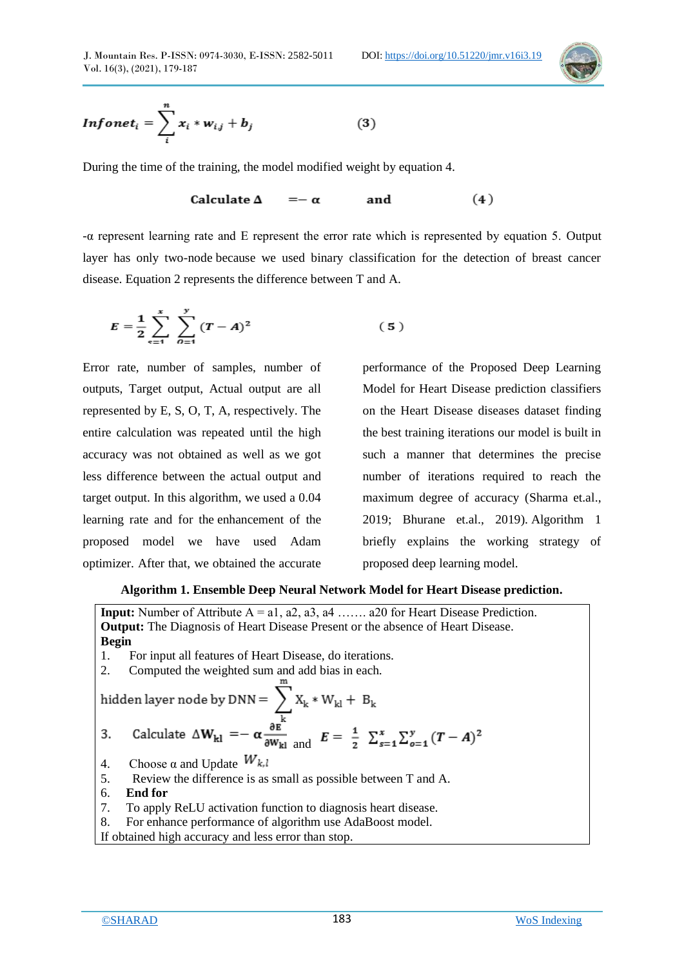

$$
Infonet_i = \sum_{i}^{n} x_i * w_{ij} + b_j
$$
 (3)

During the time of the training, the model modified weight by equation 4.

Calculate  $\Delta$  $(4)$  $=-\alpha$ and

-α represent learning rate and E represent the error rate which is represented by equation 5. Output layer has only two-node because we used binary classification for the detection of breast cancer disease. Equation 2 represents the difference between T and A.

$$
E = \frac{1}{2} \sum_{s=1}^{x} \sum_{\theta=1}^{y} (T - A)^2
$$
 (5)

Error rate, number of samples, number of outputs, Target output, Actual output are all represented by E, S, O, T, A, respectively. The entire calculation was repeated until the high accuracy was not obtained as well as we got less difference between the actual output and target output. In this algorithm, we used a 0.04 learning rate and for the enhancement of the proposed model we have used Adam optimizer. After that, we obtained the accurate

 $\lambda$ 

performance of the Proposed Deep Learning Model for Heart Disease prediction classifiers on the Heart Disease diseases dataset finding the best training iterations our model is built in such a manner that determines the precise number of iterations required to reach the maximum degree of accuracy (Sharma et.al., 2019; Bhurane et.al., 2019). Algorithm 1 briefly explains the working strategy of proposed deep learning model.

#### **Algorithm 1. Ensemble Deep Neural Network Model for Heart Disease prediction.**

**Input:** Number of Attribute A = a1, a2, a3, a4 ……. a20 for Heart Disease Prediction. **Output:** The Diagnosis of Heart Disease Present or the absence of Heart Disease. **Begin** 1. For input all features of Heart Disease, do iterations. 2. Computed the weighted sum and add bias in each. and 4. Choose  $\alpha$  and Update  $W_{k,l}$ 5. Review the difference is as small as possible between T and A. 6. **End for** 7.To apply ReLU activation function to diagnosis heart disease. 8.For enhance performance of algorithm use AdaBoost model. If obtained high accuracy and less error than stop.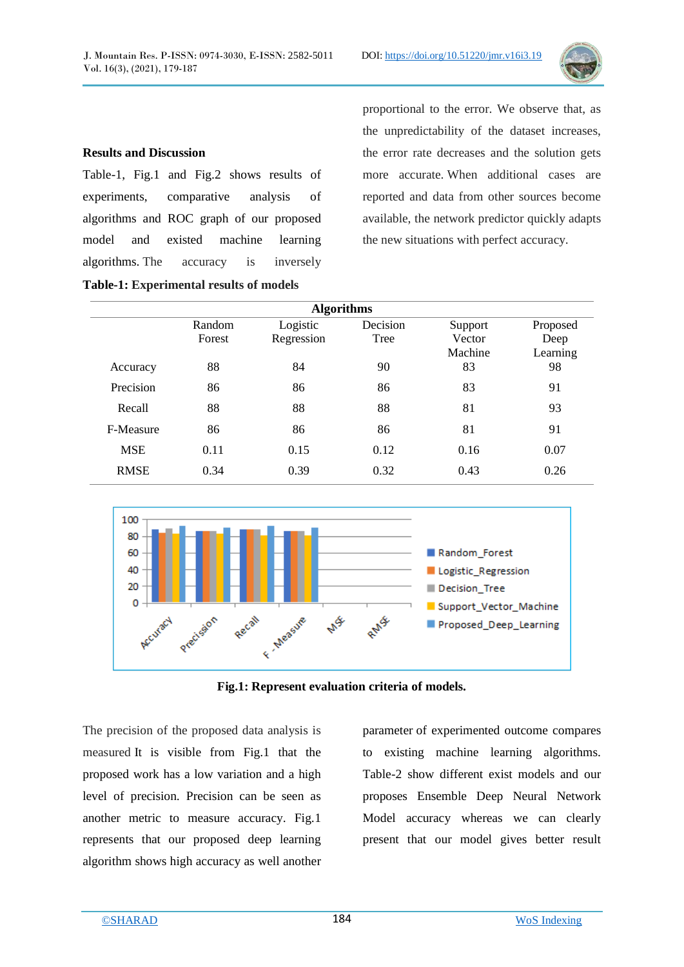

#### **Results and Discussion**

Table-1, Fig.1 and Fig.2 shows results of experiments, comparative analysis of algorithms and ROC graph of our proposed model and existed machine learning algorithms. The accuracy is inversely

**Table-1: Experimental results of models**

proportional to the error. We observe that, as the unpredictability of the dataset increases, the error rate decreases and the solution gets more accurate. When additional cases are reported and data from other sources become available, the network predictor quickly adapts the new situations with perfect accuracy.

|             | <b>Algorithms</b> |                        |                  |                              |                              |  |
|-------------|-------------------|------------------------|------------------|------------------------------|------------------------------|--|
|             | Random<br>Forest  | Logistic<br>Regression | Decision<br>Tree | Support<br>Vector<br>Machine | Proposed<br>Deep<br>Learning |  |
| Accuracy    | 88                | 84                     | 90               | 83                           | 98                           |  |
| Precision   | 86                | 86                     | 86               | 83                           | 91                           |  |
| Recall      | 88                | 88                     | 88               | 81                           | 93                           |  |
| F-Measure   | 86                | 86                     | 86               | 81                           | 91                           |  |
| <b>MSE</b>  | 0.11              | 0.15                   | 0.12             | 0.16                         | 0.07                         |  |
| <b>RMSE</b> | 0.34              | 0.39                   | 0.32             | 0.43                         | 0.26                         |  |



**Fig.1: Represent evaluation criteria of models.**

The precision of the proposed data analysis is measured It is visible from Fig.1 that the proposed work has a low variation and a high level of precision. Precision can be seen as another metric to measure accuracy. Fig.1 represents that our proposed deep learning algorithm shows high accuracy as well another parameter of experimented outcome compares to existing machine learning algorithms. Table-2 show different exist models and our proposes Ensemble Deep Neural Network Model accuracy whereas we can clearly present that our model gives better result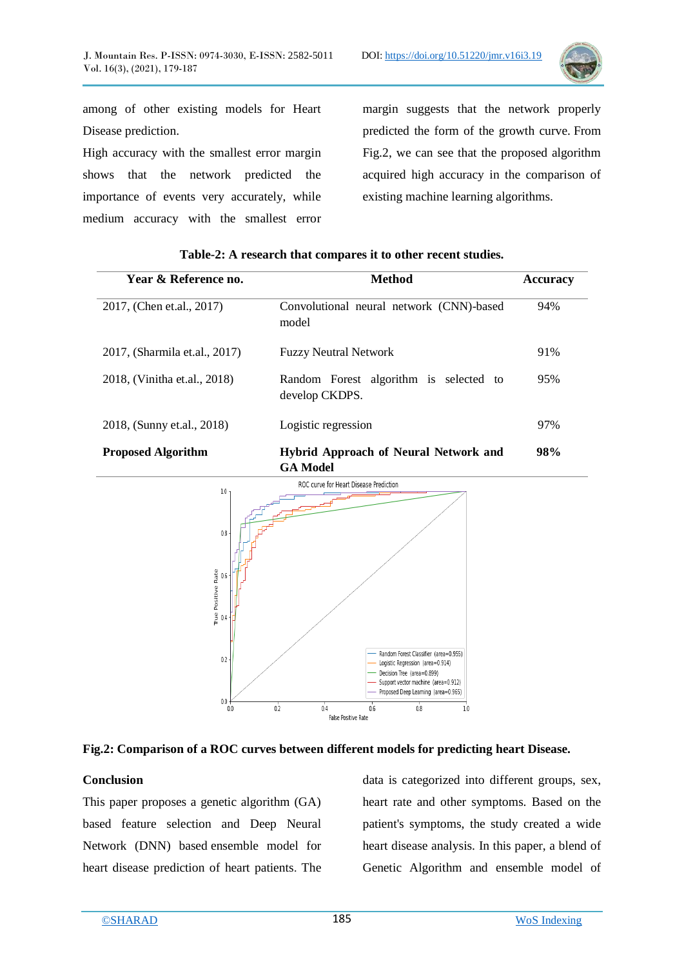

among of other existing models for Heart Disease prediction.

High accuracy with the smallest error margin shows that the network predicted the importance of events very accurately, while medium accuracy with the smallest error margin suggests that the network properly predicted the form of the growth curve. From Fig.2, we can see that the proposed algorithm acquired high accuracy in the comparison of existing machine learning algorithms.

| Year & Reference no.          | Method                                                          | <b>Accuracy</b> |
|-------------------------------|-----------------------------------------------------------------|-----------------|
| 2017, (Chen et.al., 2017)     | Convolutional neural network (CNN)-based<br>model               | 94%             |
| 2017, (Sharmila et.al., 2017) | <b>Fuzzy Neutral Network</b>                                    | 91%             |
| 2018, (Vinitha et.al., 2018)  | Random Forest algorithm is selected to<br>develop CKDPS.        | 95%             |
| 2018, (Sunny et.al., 2018)    | Logistic regression                                             | 97%             |
| <b>Proposed Algorithm</b>     | <b>Hybrid Approach of Neural Network and</b><br><b>GA Model</b> | 98%             |

**Table-2: A research that compares it to other recent studies.**





#### **Conclusion**

This paper proposes a genetic algorithm (GA) based feature selection and Deep Neural Network (DNN) based ensemble model for heart disease prediction of heart patients. The

data is categorized into different groups, sex, heart rate and other symptoms. Based on the patient's symptoms, the study created a wide heart disease analysis. In this paper, a blend of Genetic Algorithm and ensemble model of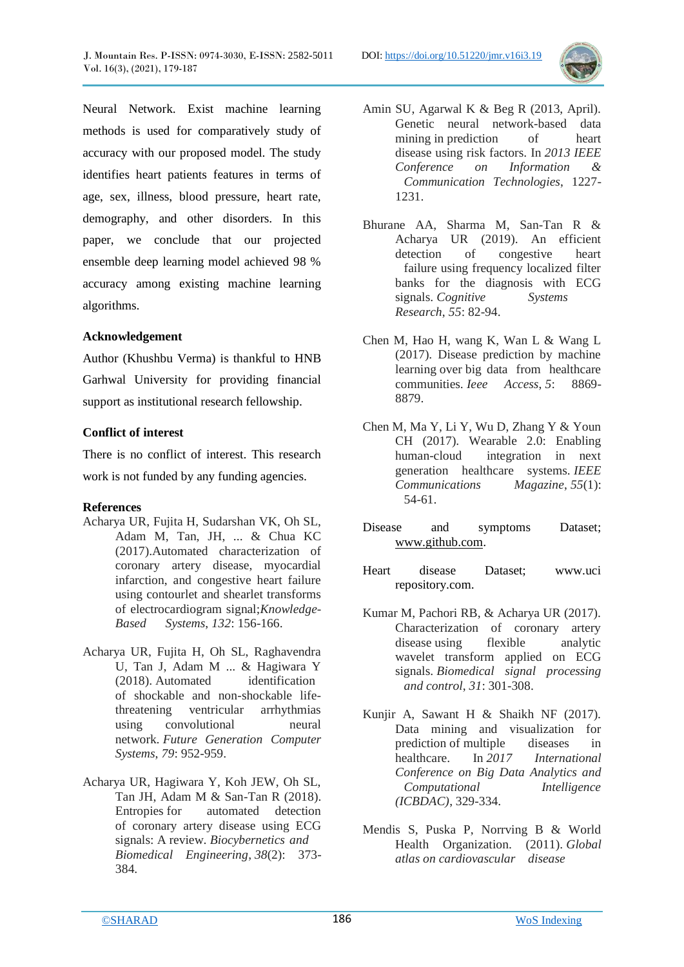

Neural Network. Exist machine learning methods is used for comparatively study of accuracy with our proposed model. The study identifies heart patients features in terms of age, sex, illness, blood pressure, heart rate, demography, and other disorders. In this paper, we conclude that our projected ensemble deep learning model achieved 98 % accuracy among existing machine learning algorithms.

## **Acknowledgement**

Author (Khushbu Verma) is thankful to HNB Garhwal University for providing financial support as institutional research fellowship.

## **Conflict of interest**

There is no conflict of interest. This research work is not funded by any funding agencies.

## **References**

- Acharya UR, Fujita H, Sudarshan VK, Oh SL, Adam M, Tan, JH, ... & Chua KC (2017).Automated characterization of coronary artery disease, myocardial infarction, and congestive heart failure using contourlet and shearlet transforms of electrocardiogram signal;*Knowledge-Based Systems*, *132*: 156-166.
- Acharya UR, Fujita H, Oh SL, Raghavendra U, Tan J, Adam M ... & Hagiwara Y (2018). Automated identification of shockable and non-shockable lifethreatening ventricular arrhythmias using convolutional neural network. *Future Generation Computer Systems*, *79*: 952-959.
- Acharya UR, Hagiwara Y, Koh JEW, Oh SL, Tan JH, Adam M & San-Tan R (2018). Entropies for automated detection of coronary artery disease using ECG signals: A review. *Biocybernetics and Biomedical Engineering*, *38*(2): 373- 384.
- Amin SU, Agarwal K & Beg R (2013, April). Genetic neural network-based data mining in prediction of heart disease using risk factors. In *2013 IEEE Conference on Information & Communication Technologies*, 1227- 1231.
- Bhurane AA, Sharma M, San-Tan R & Acharya UR (2019). An efficient detection of congestive heart failure using frequency localized filter banks for the diagnosis with ECG signals. *Cognitive Systems Research*, *55*: 82-94.
- Chen M, Hao H, wang K, Wan L & Wang L (2017). Disease prediction by machine learning over big data from healthcare communities. *Ieee Access*, *5*: 8869- 8879.
- Chen M, Ma Y, Li Y, Wu D, Zhang Y & Youn CH (2017). Wearable 2.0: Enabling human-cloud integration in next generation healthcare systems. *IEEE Communications Magazine*, *55*(1): 54-61.
- Disease and symptoms Dataset; [www.github.com.](http://www.github.com/)
- Heart disease Dataset; www.uci repository.com.
- Kumar M, Pachori RB, & Acharya UR (2017). Characterization of coronary artery disease using flexible analytic wavelet transform applied on ECG signals. *Biomedical signal processing and control*, *31*: 301-308.
- Kunjir A, Sawant H & Shaikh NF (2017). Data mining and visualization for prediction of multiple diseases in healthcare. In *2017 International Conference on Big Data Analytics and Computational Intelligence (ICBDAC)*, 329-334.
- Mendis S, Puska P, Norrving B & World Health Organization. (2011). *Global atlas on cardiovascular disease*